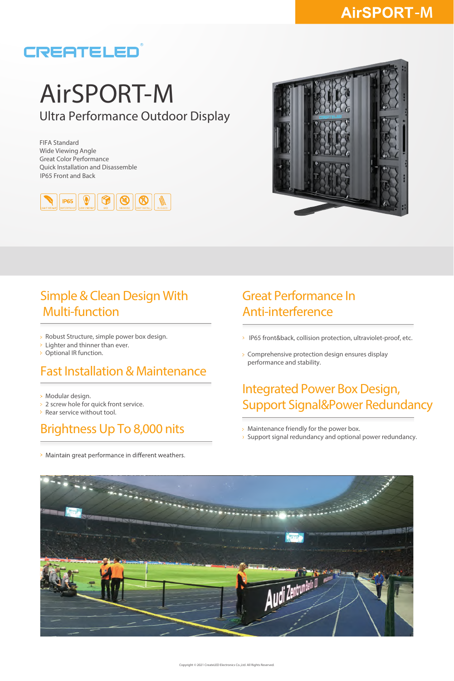# CREATELED

# AirSPORT-M Ultra Performance Outdoor Display

IP65 Front and Back FIFA Standard Wide Viewing Angle Great Color Performance Quick Installation and Disassemble





#### Simple & Clean Design With Multi-function

- Robust Structure, simple power box design.
- Lighter and thinner than ever.
- > Optional IR function.

#### Fast Installation & Maintenance

- Modular design.
- 2 screw hole for quick front service.
- Rear service without tool.

## Brightness Up To 8,000 nits

> Maintain great performance in different weathers.

#### Great Performance In Anti-interference

- > IP65 front&back, collision protection, ultraviolet-proof, etc.
- Comprehensive protection design ensures display performance and stability.

## Integrated Power Box Design, Support Signal&Power Redundancy

- Maintenance friendly for the power box.
- $>$  Support signal redundancy and optional power redundancy.